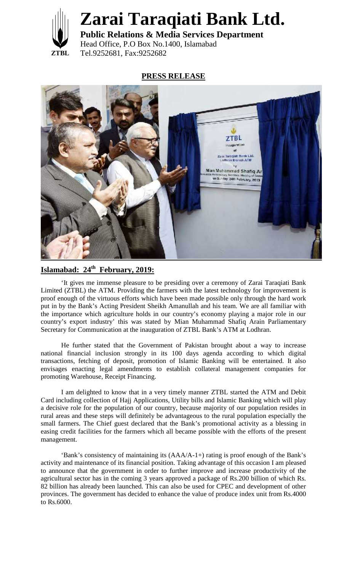

## **Zarai Taraqiati Bank Ltd.**

**ZTBL** Tel.9252681, Fax:9252682 **Public Relations & Media Services Department** Head Office, P.O Box No.1400, Islamabad

## **PRESS RELEASE**



## **Islamabad: 24th February, 2019:**

'It gives me immense pleasure to be presiding over a ceremony of Zarai Taraqiati Bank Limited (ZTBL) the ATM. Providing the farmers with the latest technology for improvement is proof enough of the virtuous efforts which have been made possible only through the hard work put in by the Bank's Acting President Sheikh Amanullah and his team. We are all familiar with the importance which agriculture holds in our country's economy playing a major role in our country's export industry' this was stated by Mian Muhammad Shafiq Arain Parliamentary Secretary for Communication at the inauguration of ZTBL Bank's ATM at Lodhran.

He further stated that the Government of Pakistan brought about a way to increase national financial inclusion strongly in its 100 days agenda according to which digital transactions, fetching of deposit, promotion of Islamic Banking will be entertained. It also envisages enacting legal amendments to establish collateral management companies for promoting Warehouse, Receipt Financing.

I am delighted to know that in a very timely manner ZTBL started the ATM and Debit Card including collection of Hajj Applications, Utility bills and Islamic Banking which will play a decisive role for the population of our country, because majority of our population resides in rural areas and these steps will definitely be advantageous to the rural population especially the small farmers. The Chief guest declared that the Bank's promotional activity as a blessing in easing credit facilities for the farmers which all became possible with the efforts of the present management.

'Bank's consistency of maintaining its (AAA/A-1+) rating is proof enough of the Bank's activity and maintenance of its financial position. Taking advantage of this occasion I am pleased to announce that the government in order to further improve and increase productivity of the agricultural sector has in the coming 3 years approved a package of Rs.200 billion of which Rs. 82 billion has already been launched. This can also be used for CPEC and development of other provinces. The government has decided to enhance the value of produce index unit from Rs.4000 to Rs.6000.